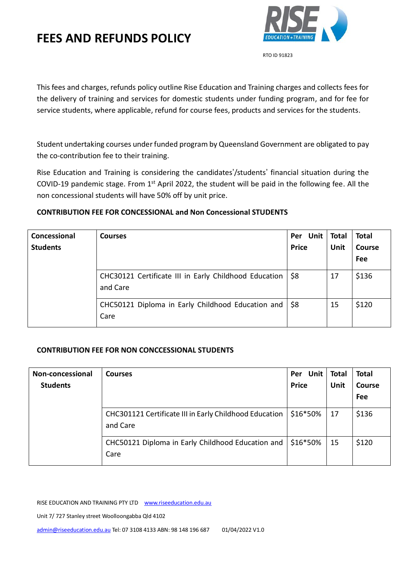

RTO ID 91823

This fees and charges, refunds policy outline Rise Education and Training charges and collects fees for the delivery of training and services for domestic students under funding program, and for fee for service students, where applicable, refund for course fees, products and services for the students.

Student undertaking courses under funded program by Queensland Government are obligated to pay the co-contribution fee to their training.

Rise Education and Training is considering the candidates'/students' financial situation during the COVID-19 pandemic stage. From 1<sup>st</sup> April 2022, the student will be paid in the following fee. All the non concessional students will have 50% off by unit price.

## **CONTRIBUTION FEE FOR CONCESSIONAL and Non Concessional STUDENTS**

| Concessional<br><b>Students</b> | <b>Courses</b>                                                    | Per Unit<br><b>Price</b> | Total<br>Unit | <b>Total</b><br>Course<br>Fee |
|---------------------------------|-------------------------------------------------------------------|--------------------------|---------------|-------------------------------|
|                                 | CHC30121 Certificate III in Early Childhood Education<br>and Care | <b>S8</b>                | 17            | \$136                         |
|                                 | CHC50121 Diploma in Early Childhood Education and \\$8<br>Care    |                          | 15            | \$120                         |

## **CONTRIBUTION FEE FOR NON CONCCESSIONAL STUDENTS**

| Non-concessional<br><b>Students</b> | <b>Courses</b>                                                     | Per Unit<br><b>Price</b> | Total<br>Unit | <b>Total</b><br><b>Course</b><br>Fee |
|-------------------------------------|--------------------------------------------------------------------|--------------------------|---------------|--------------------------------------|
|                                     | CHC301121 Certificate III in Early Childhood Education<br>and Care | \$16*50%                 | 17            | \$136                                |
|                                     | CHC50121 Diploma in Early Childhood Education and<br>Care          | \$16*50%                 | 15            | \$120                                |

RISE EDUCATION AND TRAINING PTY LTD www.riseeducation.edu.au

Unit 7/ 727 Stanley street Woolloongabba Qld 4102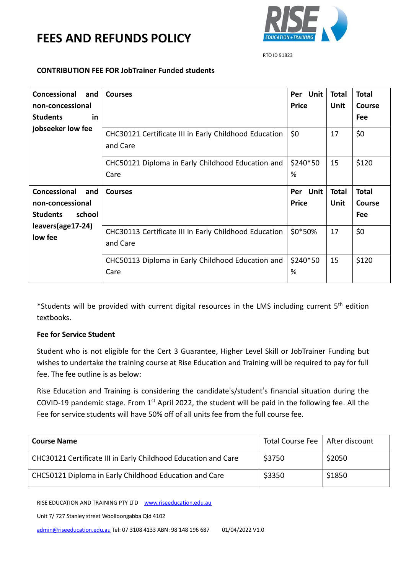

RTO ID 91823

#### **CONTRIBUTION FEE FOR JobTrainer Funded students**

| Concessional<br>and          | <b>Courses</b>                                                    | Per Unit      | <b>Total</b> | <b>Total</b>  |
|------------------------------|-------------------------------------------------------------------|---------------|--------------|---------------|
| non-concessional             |                                                                   | <b>Price</b>  | Unit         | <b>Course</b> |
| <b>Students</b><br>in        |                                                                   |               |              | <b>Fee</b>    |
| jobseeker low fee            | CHC30121 Certificate III in Early Childhood Education<br>and Care | \$0           | 17           | \$0           |
|                              | CHC50121 Diploma in Early Childhood Education and                 | \$240*50      | 15           | \$120         |
|                              | Care                                                              | %             |              |               |
| Concessional<br>and          | <b>Courses</b>                                                    | Per Unit      | <b>Total</b> | <b>Total</b>  |
| non-concessional             |                                                                   | <b>Price</b>  | Unit         | <b>Course</b> |
| school<br><b>Students</b>    |                                                                   |               |              | <b>Fee</b>    |
| leavers(age17-24)<br>low fee | CHC30113 Certificate III in Early Childhood Education<br>and Care | \$0*50%       | 17           | \$0           |
|                              | CHC50113 Diploma in Early Childhood Education and<br>Care         | \$240*50<br>% | 15           | \$120         |

\*Students will be provided with current digital resources in the LMS including current 5<sup>th</sup> edition textbooks.

## **Fee for Service Student**

Student who is not eligible for the Cert 3 Guarantee, Higher Level Skill or JobTrainer Funding but wishes to undertake the training course at Rise Education and Training will be required to pay for full fee. The fee outline is as below:

Rise Education and Training is considering the candidate's/student's financial situation during the COVID-19 pandemic stage. From  $1<sup>st</sup>$  April 2022, the student will be paid in the following fee. All the Fee for service students will have 50% off of all units fee from the full course fee.

| <b>Course Name</b>                                             | Total Course Fee   After discount |        |
|----------------------------------------------------------------|-----------------------------------|--------|
| CHC30121 Certificate III in Early Childhood Education and Care | \$3750                            | \$2050 |
| CHC50121 Diploma in Early Childhood Education and Care         | \$3350                            | \$1850 |

RISE EDUCATION AND TRAINING PTY LTD www.riseeducation.edu.au

Unit 7/ 727 Stanley street Woolloongabba Qld 4102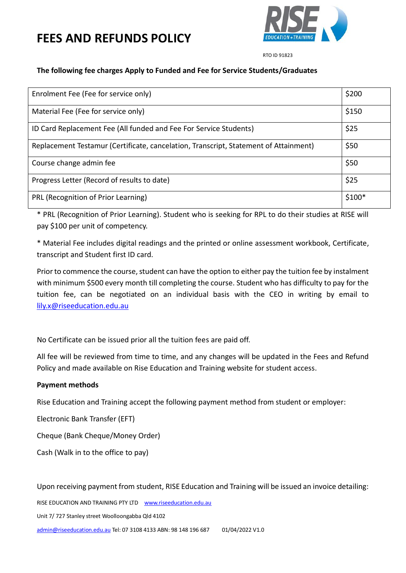

RTO ID 91823

#### **The following fee charges Apply to Funded and Fee for Service Students/Graduates**

| Enrolment Fee (Fee for service only)                                                 | \$200   |
|--------------------------------------------------------------------------------------|---------|
| Material Fee (Fee for service only)                                                  | \$150   |
| ID Card Replacement Fee (All funded and Fee For Service Students)                    | \$25    |
| Replacement Testamur (Certificate, cancelation, Transcript, Statement of Attainment) | \$50    |
| Course change admin fee                                                              | \$50    |
| Progress Letter (Record of results to date)                                          | \$25    |
| PRL (Recognition of Prior Learning)                                                  | $$100*$ |

\* PRL (Recognition of Prior Learning). Student who is seeking for RPL to do their studies at RISE will pay \$100 per unit of competency.

\* Material Fee includes digital readings and the printed or online assessment workbook, Certificate, transcript and Student first ID card.

Prior to commence the course, student can have the option to either pay the tuition fee by instalment with minimum \$500 every month till completing the course. Student who has difficulty to pay for the tuition fee, can be negotiated on an individual basis with the CEO in writing by email to [lily.x@riseeducation.edu.au](mailto:lily.x@riseeducation.edu.au) 

No Certificate can be issued prior all the tuition fees are paid off.

All fee will be reviewed from time to time, and any changes will be updated in the Fees and Refund Policy and made available on Rise Education and Training website for student access.

## **Payment methods**

Rise Education and Training accept the following payment method from student or employer:

Electronic Bank Transfer (EFT)

Cheque (Bank Cheque/Money Order)

Cash (Walk in to the office to pay)

Upon receiving payment from student, RISE Education and Training will be issued an invoice detailing:

RISE EDUCATION AND TRAINING PTY LTD www.riseeducation.edu.au

Unit 7/ 727 Stanley street Woolloongabba Qld 4102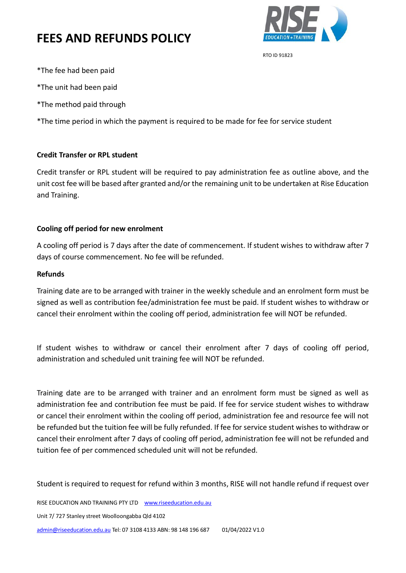

RTO ID 91823

- \*The fee had been paid
- \*The unit had been paid
- \*The method paid through

\*The time period in which the payment is required to be made for fee for service student

#### **Credit Transfer or RPL student**

Credit transfer or RPL student will be required to pay administration fee as outline above, and the unit cost fee will be based after granted and/or the remaining unit to be undertaken at Rise Education and Training.

## **Cooling off period for new enrolment**

A cooling off period is 7 days after the date of commencement. If student wishes to withdraw after 7 days of course commencement. No fee will be refunded.

#### **Refunds**

Training date are to be arranged with trainer in the weekly schedule and an enrolment form must be signed as well as contribution fee/administration fee must be paid. If student wishes to withdraw or cancel their enrolment within the cooling off period, administration fee will NOT be refunded.

If student wishes to withdraw or cancel their enrolment after 7 days of cooling off period, administration and scheduled unit training fee will NOT be refunded.

Training date are to be arranged with trainer and an enrolment form must be signed as well as administration fee and contribution fee must be paid. If fee for service student wishes to withdraw or cancel their enrolment within the cooling off period, administration fee and resource fee will not be refunded but the tuition fee will be fully refunded. If fee for service student wishes to withdraw or cancel their enrolment after 7 days of cooling off period, administration fee will not be refunded and tuition fee of per commenced scheduled unit will not be refunded.

Student is required to request for refund within 3 months, RISE will not handle refund if request over

RISE EDUCATION AND TRAINING PTY LTD www.riseeducation.edu.au

Unit 7/ 727 Stanley street Woolloongabba Qld 4102